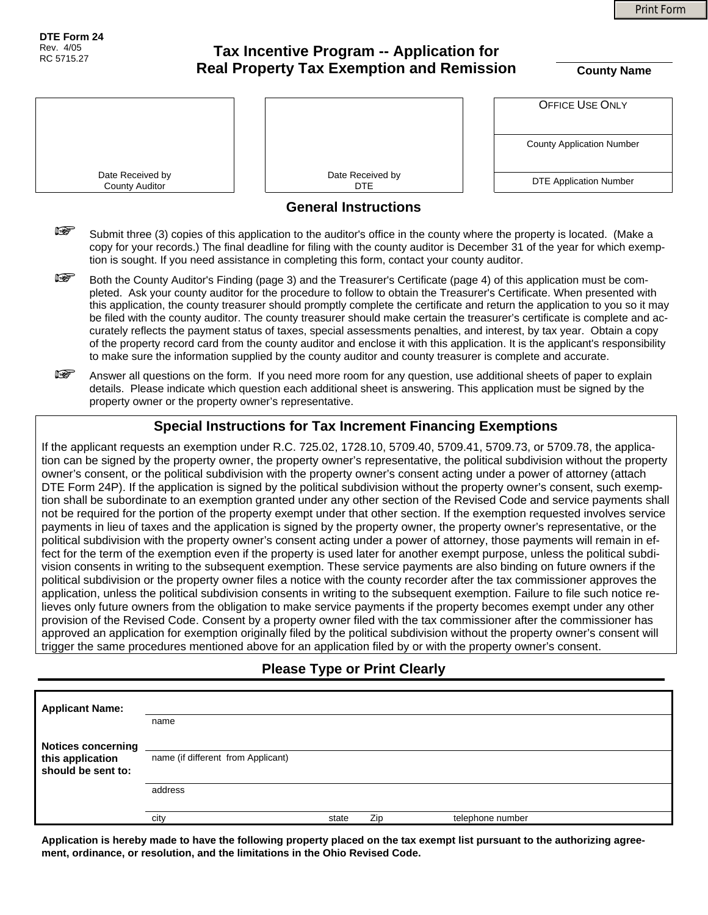Print Form

**DTE Form 24**  Rev. 4/05 RC 5715.27

# **Tax Incentive Program -- Application for Real Property Tax Exemption and Remission**  $\overline{\text{County Name}}$

|                                                                                                                                                                                                                                                                                                                                                              |                                                                                                                                                                                                                                                | <b>OFFICE USE ONLY</b>           |  |  |
|--------------------------------------------------------------------------------------------------------------------------------------------------------------------------------------------------------------------------------------------------------------------------------------------------------------------------------------------------------------|------------------------------------------------------------------------------------------------------------------------------------------------------------------------------------------------------------------------------------------------|----------------------------------|--|--|
|                                                                                                                                                                                                                                                                                                                                                              |                                                                                                                                                                                                                                                | <b>County Application Number</b> |  |  |
| Date Received by<br><b>County Auditor</b>                                                                                                                                                                                                                                                                                                                    | Date Received by<br><b>DTE</b>                                                                                                                                                                                                                 | <b>DTE Application Number</b>    |  |  |
|                                                                                                                                                                                                                                                                                                                                                              | <b>General Instructions</b>                                                                                                                                                                                                                    |                                  |  |  |
| r (<br>Submit three (3) copies of this application to the auditor's office in the county where the property is located. (Make a<br>copy for your records.) The final deadline for filing with the county auditor is December 31 of the year for which exemp-<br>tion is sought. If you need assistance in completing this form, contact your county auditor. |                                                                                                                                                                                                                                                |                                  |  |  |
| isportant portale portale portale portale anti-                                                                                                                                                                                                                                                                                                              | Both the County Auditor's Finding (page 3) and the Treasurer's Certificate (page 4) of this application must be com-<br>pleted. Ask your county auditor for the procedure to follow to obtain the Treasurer's Certificate. When presented with |                                  |  |  |

- ileted. Ask your county auditor for the procedure to follow to obtain the Treasurer's Certificate. When i this application, the county treasurer should promptly complete the certificate and return the application to you so it may be filed with the county auditor. The county treasurer should make certain the treasurer's certificate is complete and accurately reflects the payment status of taxes, special assessments penalties, and interest, by tax year. Obtain a copy of the property record card from the county auditor and enclose it with this application. It is the applicant's responsibility to make sure the information supplied by the county auditor and county treasurer is complete and accurate.
- Answer all questions on the form. If you need more room for any question, use additional sheets of paper to explain details. Please indicate which question each additional sheet is answering. This application must be signed by the property owner or the property owner's representative.

### **Special Instructions for Tax Increment Financing Exemptions**

If the applicant requests an exemption under R.C. 725.02, 1728.10, 5709.40, 5709.41, 5709.73, or 5709.78, the application can be signed by the property owner, the property owner's representative, the political subdivision without the property owner's consent, or the political subdivision with the property owner's consent acting under a power of attorney (attach DTE Form 24P). If the application is signed by the political subdivision without the property owner's consent, such exemption shall be subordinate to an exemption granted under any other section of the Revised Code and service payments shall not be required for the portion of the property exempt under that other section. If the exemption requested involves service payments in lieu of taxes and the application is signed by the property owner, the property owner's representative, or the political subdivision with the property owner's consent acting under a power of attorney, those payments will remain in effect for the term of the exemption even if the property is used later for another exempt purpose, unless the political subdivision consents in writing to the subsequent exemption. These service payments are also binding on future owners if the political subdivision or the property owner files a notice with the county recorder after the tax commissioner approves the application, unless the political subdivision consents in writing to the subsequent exemption. Failure to file such notice relieves only future owners from the obligation to make service payments if the property becomes exempt under any other provision of the Revised Code. Consent by a property owner filed with the tax commissioner after the commissioner has approved an application for exemption originally filed by the political subdivision without the property owner's consent will trigger the same procedures mentioned above for an application filed by or with the property owner's consent.

#### **Please Type or Print Clearly**

| <b>Applicant Name:</b>                 |                                    |       |     |                  |
|----------------------------------------|------------------------------------|-------|-----|------------------|
|                                        | name                               |       |     |                  |
| <b>Notices concerning</b>              |                                    |       |     |                  |
| this application<br>should be sent to: | name (if different from Applicant) |       |     |                  |
|                                        | address                            |       |     |                  |
|                                        |                                    |       |     |                  |
|                                        | city                               | state | Zip | telephone number |

**Application is hereby made to have the following property placed on the tax exempt list pursuant to the authorizing agreement, ordinance, or resolution, and the limitations in the Ohio Revised Code.**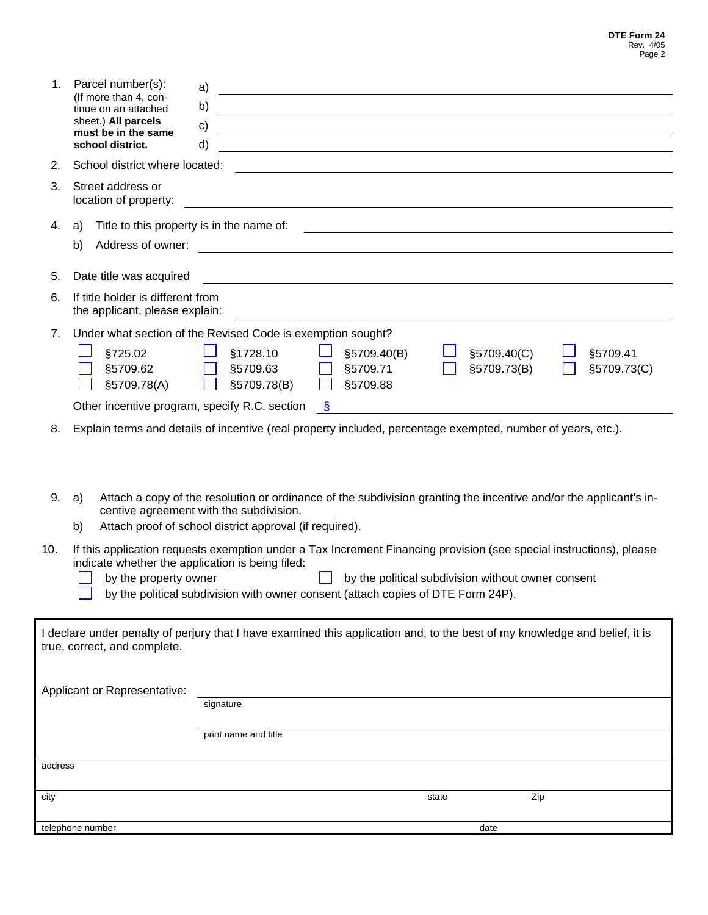| 1.                                                                                                                                                              | Parcel number(s):                                                   | a)<br><u> 1989 - Johann Stoff, deutscher Stoffen und der Stoffen und der Stoffen und der Stoffen und der Stoffen und der</u>                                 |  |  |  |
|-----------------------------------------------------------------------------------------------------------------------------------------------------------------|---------------------------------------------------------------------|--------------------------------------------------------------------------------------------------------------------------------------------------------------|--|--|--|
|                                                                                                                                                                 | (If more than 4, con-<br>tinue on an attached                       | b)<br><u> 1989 - Johann Stoff, Amerikaansk politiker († 1908)</u>                                                                                            |  |  |  |
|                                                                                                                                                                 | sheet.) All parcels<br>must be in the same                          | $\mathsf{c})$<br>and the control of the control of the control of the control of the control of the control of the control of the                            |  |  |  |
|                                                                                                                                                                 | school district.                                                    | d)                                                                                                                                                           |  |  |  |
| 2.                                                                                                                                                              | School district where located:                                      |                                                                                                                                                              |  |  |  |
| 3.                                                                                                                                                              | Street address or<br>location of property:                          |                                                                                                                                                              |  |  |  |
| 4.                                                                                                                                                              | a)                                                                  | Title to this property is in the name of:<br><u> 1989 - Johann Barn, fransk politik (d. 1989)</u>                                                            |  |  |  |
|                                                                                                                                                                 | b)                                                                  |                                                                                                                                                              |  |  |  |
| 5.                                                                                                                                                              | Date title was acquired                                             |                                                                                                                                                              |  |  |  |
| 6.                                                                                                                                                              | If title holder is different from<br>the applicant, please explain: |                                                                                                                                                              |  |  |  |
| 7.                                                                                                                                                              |                                                                     | Under what section of the Revised Code is exemption sought?                                                                                                  |  |  |  |
|                                                                                                                                                                 | §725.02                                                             | §1728.10<br>§5709.40(B)<br>§5709.40(C)<br>§5709.41                                                                                                           |  |  |  |
|                                                                                                                                                                 |                                                                     | §5709.62 <u>§5709.63</u><br>§5709.71<br>§5709.73(B)<br>§5709.73(C)                                                                                           |  |  |  |
|                                                                                                                                                                 | §5709.78(A)<br>Other incentive program, specify R.C. section        | §5709.78(B)<br>§5709.88<br><b>S</b>                                                                                                                          |  |  |  |
|                                                                                                                                                                 |                                                                     |                                                                                                                                                              |  |  |  |
| 8.                                                                                                                                                              |                                                                     | Explain terms and details of incentive (real property included, percentage exempted, number of years, etc.).                                                 |  |  |  |
|                                                                                                                                                                 |                                                                     |                                                                                                                                                              |  |  |  |
|                                                                                                                                                                 |                                                                     |                                                                                                                                                              |  |  |  |
| 9.                                                                                                                                                              | a)                                                                  | Attach a copy of the resolution or ordinance of the subdivision granting the incentive and/or the applicant's in-<br>centive agreement with the subdivision. |  |  |  |
|                                                                                                                                                                 | b)                                                                  | Attach proof of school district approval (if required).                                                                                                      |  |  |  |
| 10.                                                                                                                                                             |                                                                     | If this application requests exemption under a Tax Increment Financing provision (see special instructions), please                                          |  |  |  |
|                                                                                                                                                                 | indicate whether the application is being filed:                    |                                                                                                                                                              |  |  |  |
| by the property owner<br>by the political subdivision without owner consent<br>by the political subdivision with owner consent (attach copies of DTE Form 24P). |                                                                     |                                                                                                                                                              |  |  |  |
|                                                                                                                                                                 |                                                                     |                                                                                                                                                              |  |  |  |
|                                                                                                                                                                 |                                                                     | I declare under penalty of perjury that I have examined this application and, to the best of my knowledge and belief, it is                                  |  |  |  |
|                                                                                                                                                                 | true, correct, and complete.                                        |                                                                                                                                                              |  |  |  |
|                                                                                                                                                                 |                                                                     |                                                                                                                                                              |  |  |  |
|                                                                                                                                                                 | Applicant or Representative:                                        |                                                                                                                                                              |  |  |  |
|                                                                                                                                                                 |                                                                     | signature                                                                                                                                                    |  |  |  |
|                                                                                                                                                                 |                                                                     | print name and title                                                                                                                                         |  |  |  |
| address                                                                                                                                                         |                                                                     |                                                                                                                                                              |  |  |  |
| city                                                                                                                                                            |                                                                     | Zip<br>state                                                                                                                                                 |  |  |  |
|                                                                                                                                                                 |                                                                     |                                                                                                                                                              |  |  |  |
|                                                                                                                                                                 | telephone number                                                    | date                                                                                                                                                         |  |  |  |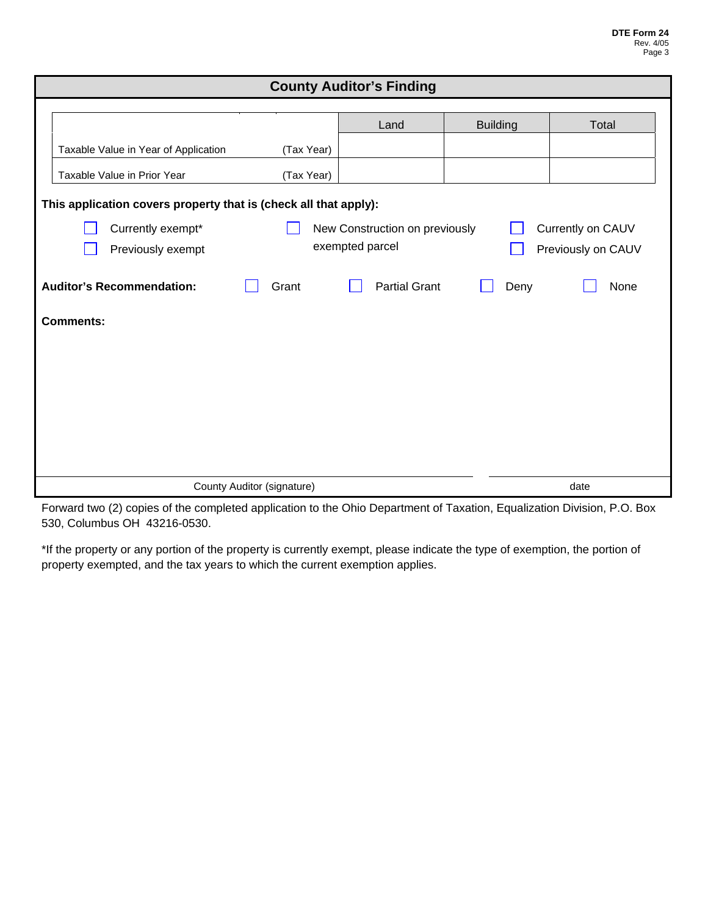| <b>County Auditor's Finding</b>                                          |                                       |                      |                 |       |
|--------------------------------------------------------------------------|---------------------------------------|----------------------|-----------------|-------|
|                                                                          |                                       |                      |                 |       |
|                                                                          |                                       | Land                 | <b>Building</b> | Total |
| Taxable Value in Year of Application                                     | (Tax Year)                            |                      |                 |       |
| Taxable Value in Prior Year                                              | (Tax Year)                            |                      |                 |       |
| This application covers property that is (check all that apply):         |                                       |                      |                 |       |
| Currently exempt*<br>Currently on CAUV<br>New Construction on previously |                                       |                      |                 |       |
| Previously exempt                                                        | exempted parcel<br>Previously on CAUV |                      |                 |       |
| <b>Auditor's Recommendation:</b>                                         | Grant                                 | <b>Partial Grant</b> | Deny            | None  |
| <b>Comments:</b>                                                         |                                       |                      |                 |       |
|                                                                          |                                       |                      |                 |       |
|                                                                          |                                       |                      |                 |       |
|                                                                          |                                       |                      |                 |       |
|                                                                          |                                       |                      |                 |       |
|                                                                          |                                       |                      |                 |       |
|                                                                          |                                       |                      |                 |       |
| County Auditor (signature)                                               |                                       |                      |                 | date  |

Forward two (2) copies of the completed application to the Ohio Department of Taxation, Equalization Division, P.O. Box 530, Columbus OH 43216-0530.

\*If the property or any portion of the property is currently exempt, please indicate the type of exemption, the portion of property exempted, and the tax years to which the current exemption applies.